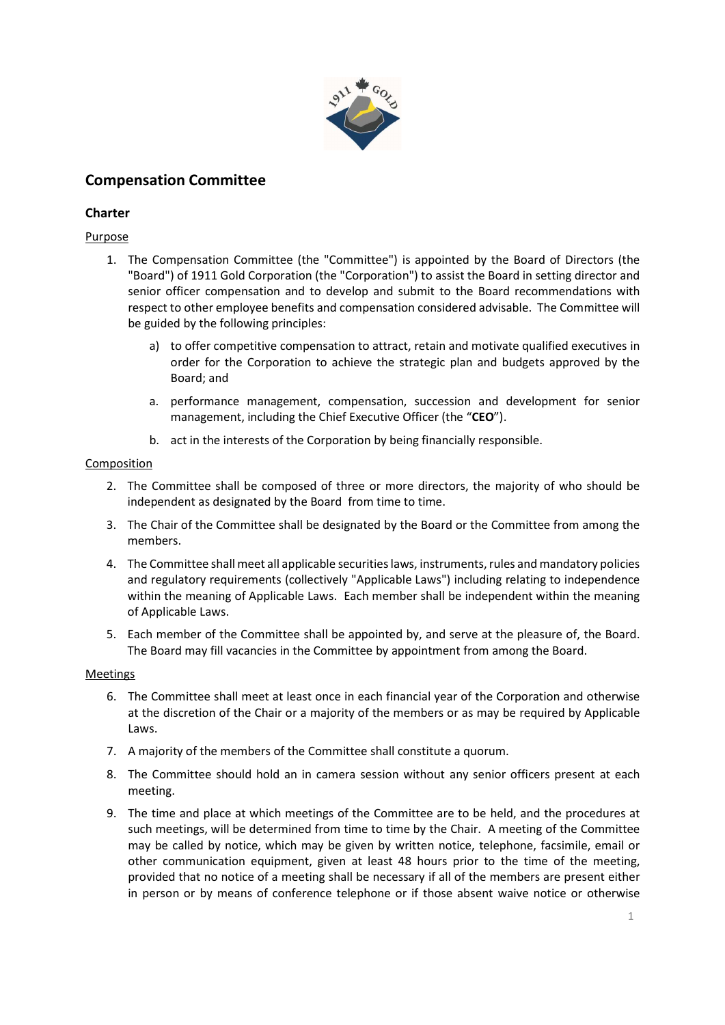

# Compensation Committee

# **Charter**

# Purpose

- 1. The Compensation Committee (the "Committee") is appointed by the Board of Directors (the "Board") of 1911 Gold Corporation (the "Corporation") to assist the Board in setting director and senior officer compensation and to develop and submit to the Board recommendations with respect to other employee benefits and compensation considered advisable. The Committee will be guided by the following principles:
	- a) to offer competitive compensation to attract, retain and motivate qualified executives in order for the Corporation to achieve the strategic plan and budgets approved by the Board; and
	- a. performance management, compensation, succession and development for senior management, including the Chief Executive Officer (the "CEO").
	- b. act in the interests of the Corporation by being financially responsible.

# Composition

- 2. The Committee shall be composed of three or more directors, the majority of who should be independent as designated by the Board from time to time.
- 3. The Chair of the Committee shall be designated by the Board or the Committee from among the members.
- 4. The Committee shall meet all applicable securities laws, instruments, rules and mandatory policies and regulatory requirements (collectively "Applicable Laws") including relating to independence within the meaning of Applicable Laws. Each member shall be independent within the meaning of Applicable Laws.
- 5. Each member of the Committee shall be appointed by, and serve at the pleasure of, the Board. The Board may fill vacancies in the Committee by appointment from among the Board.

## Meetings

- 6. The Committee shall meet at least once in each financial year of the Corporation and otherwise at the discretion of the Chair or a majority of the members or as may be required by Applicable Laws.
- 7. A majority of the members of the Committee shall constitute a quorum.
- 8. The Committee should hold an in camera session without any senior officers present at each meeting.
- 9. The time and place at which meetings of the Committee are to be held, and the procedures at such meetings, will be determined from time to time by the Chair. A meeting of the Committee may be called by notice, which may be given by written notice, telephone, facsimile, email or other communication equipment, given at least 48 hours prior to the time of the meeting, provided that no notice of a meeting shall be necessary if all of the members are present either in person or by means of conference telephone or if those absent waive notice or otherwise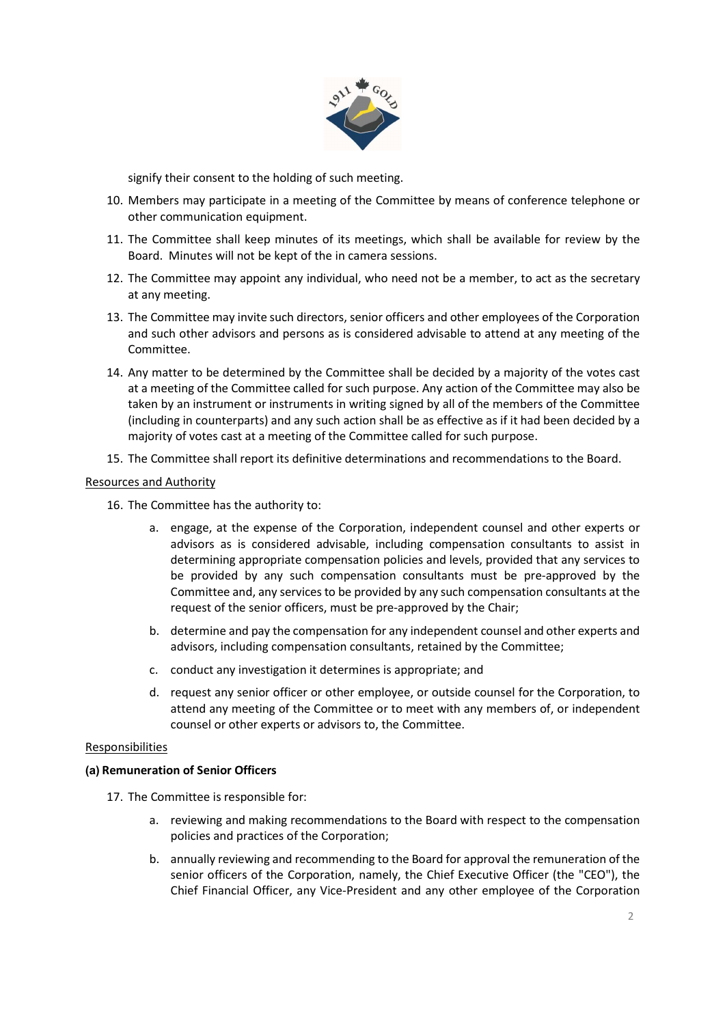

signify their consent to the holding of such meeting.

- 10. Members may participate in a meeting of the Committee by means of conference telephone or other communication equipment.
- 11. The Committee shall keep minutes of its meetings, which shall be available for review by the Board. Minutes will not be kept of the in camera sessions.
- 12. The Committee may appoint any individual, who need not be a member, to act as the secretary at any meeting.
- 13. The Committee may invite such directors, senior officers and other employees of the Corporation and such other advisors and persons as is considered advisable to attend at any meeting of the Committee.
- 14. Any matter to be determined by the Committee shall be decided by a majority of the votes cast at a meeting of the Committee called for such purpose. Any action of the Committee may also be taken by an instrument or instruments in writing signed by all of the members of the Committee (including in counterparts) and any such action shall be as effective as if it had been decided by a majority of votes cast at a meeting of the Committee called for such purpose.
- 15. The Committee shall report its definitive determinations and recommendations to the Board.

#### Resources and Authority

- 16. The Committee has the authority to:
	- a. engage, at the expense of the Corporation, independent counsel and other experts or advisors as is considered advisable, including compensation consultants to assist in determining appropriate compensation policies and levels, provided that any services to be provided by any such compensation consultants must be pre-approved by the Committee and, any services to be provided by any such compensation consultants at the request of the senior officers, must be pre-approved by the Chair;
	- b. determine and pay the compensation for any independent counsel and other experts and advisors, including compensation consultants, retained by the Committee;
	- c. conduct any investigation it determines is appropriate; and
	- d. request any senior officer or other employee, or outside counsel for the Corporation, to attend any meeting of the Committee or to meet with any members of, or independent counsel or other experts or advisors to, the Committee.

#### Responsibilities

#### (a) Remuneration of Senior Officers

- 17. The Committee is responsible for:
	- a. reviewing and making recommendations to the Board with respect to the compensation policies and practices of the Corporation;
	- b. annually reviewing and recommending to the Board for approval the remuneration of the senior officers of the Corporation, namely, the Chief Executive Officer (the "CEO"), the Chief Financial Officer, any Vice-President and any other employee of the Corporation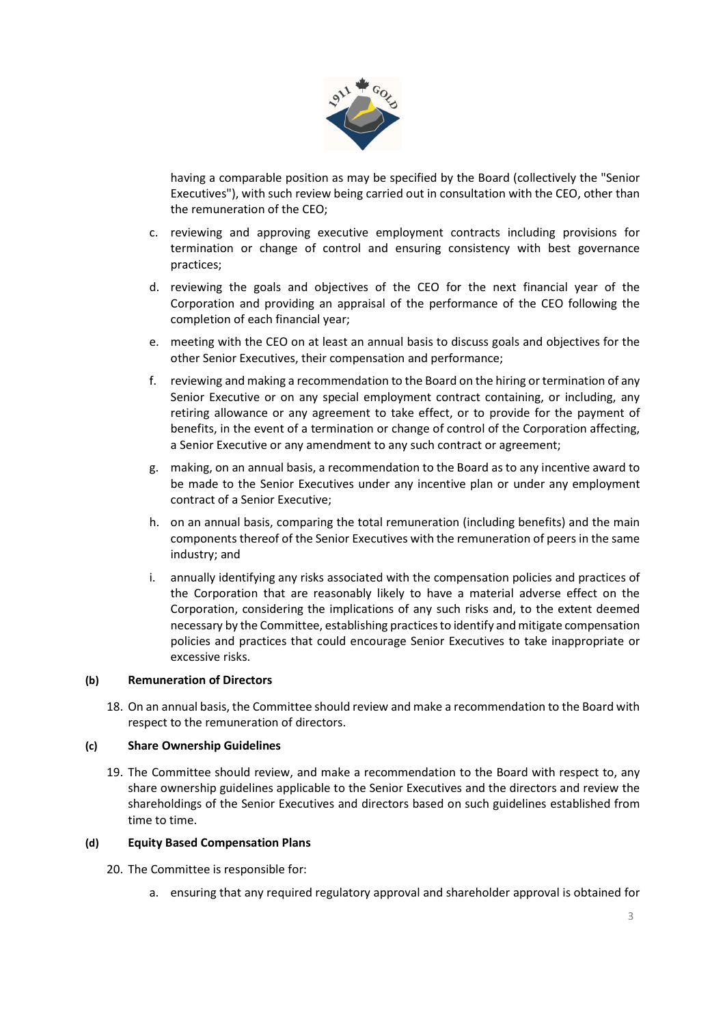

having a comparable position as may be specified by the Board (collectively the "Senior Executives"), with such review being carried out in consultation with the CEO, other than the remuneration of the CEO;

- c. reviewing and approving executive employment contracts including provisions for termination or change of control and ensuring consistency with best governance practices;
- d. reviewing the goals and objectives of the CEO for the next financial year of the Corporation and providing an appraisal of the performance of the CEO following the completion of each financial year;
- e. meeting with the CEO on at least an annual basis to discuss goals and objectives for the other Senior Executives, their compensation and performance;
- f. reviewing and making a recommendation to the Board on the hiring or termination of any Senior Executive or on any special employment contract containing, or including, any retiring allowance or any agreement to take effect, or to provide for the payment of benefits, in the event of a termination or change of control of the Corporation affecting, a Senior Executive or any amendment to any such contract or agreement;
- g. making, on an annual basis, a recommendation to the Board as to any incentive award to be made to the Senior Executives under any incentive plan or under any employment contract of a Senior Executive;
- h. on an annual basis, comparing the total remuneration (including benefits) and the main components thereof of the Senior Executives with the remuneration of peers in the same industry; and
- i. annually identifying any risks associated with the compensation policies and practices of the Corporation that are reasonably likely to have a material adverse effect on the Corporation, considering the implications of any such risks and, to the extent deemed necessary by the Committee, establishing practices to identify and mitigate compensation policies and practices that could encourage Senior Executives to take inappropriate or excessive risks.

## (b) Remuneration of Directors

18. On an annual basis, the Committee should review and make a recommendation to the Board with respect to the remuneration of directors.

#### (c) Share Ownership Guidelines

19. The Committee should review, and make a recommendation to the Board with respect to, any share ownership guidelines applicable to the Senior Executives and the directors and review the shareholdings of the Senior Executives and directors based on such guidelines established from time to time.

## (d) Equity Based Compensation Plans

- 20. The Committee is responsible for:
	- a. ensuring that any required regulatory approval and shareholder approval is obtained for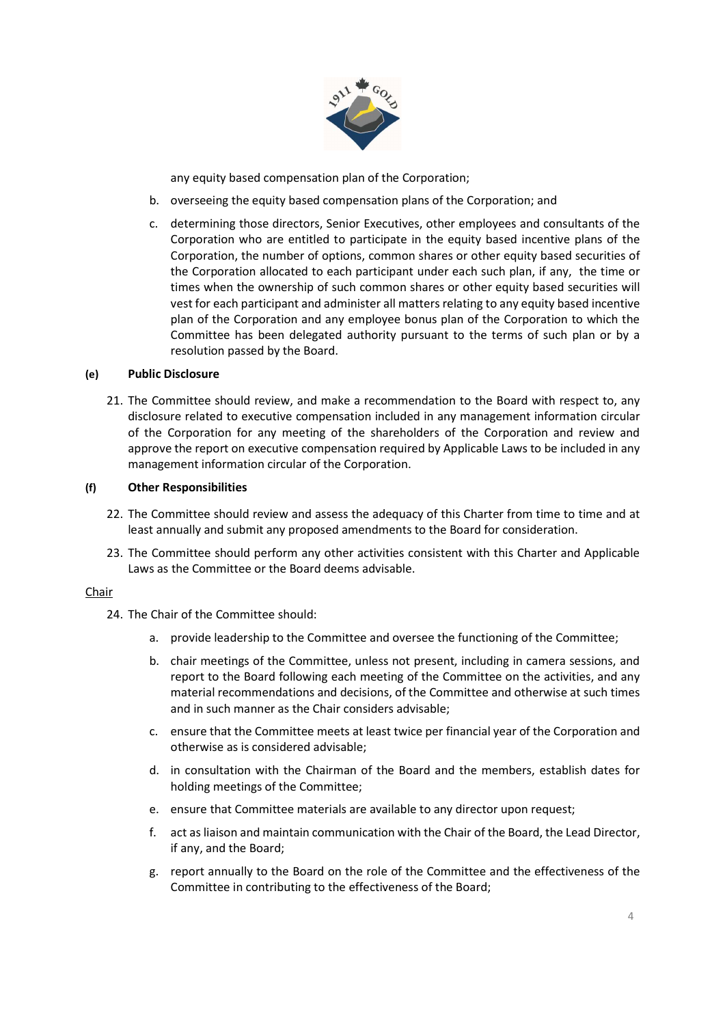

any equity based compensation plan of the Corporation;

- b. overseeing the equity based compensation plans of the Corporation; and
- c. determining those directors, Senior Executives, other employees and consultants of the Corporation who are entitled to participate in the equity based incentive plans of the Corporation, the number of options, common shares or other equity based securities of the Corporation allocated to each participant under each such plan, if any, the time or times when the ownership of such common shares or other equity based securities will vest for each participant and administer all matters relating to any equity based incentive plan of the Corporation and any employee bonus plan of the Corporation to which the Committee has been delegated authority pursuant to the terms of such plan or by a resolution passed by the Board.

#### (e) Public Disclosure

21. The Committee should review, and make a recommendation to the Board with respect to, any disclosure related to executive compensation included in any management information circular of the Corporation for any meeting of the shareholders of the Corporation and review and approve the report on executive compensation required by Applicable Laws to be included in any management information circular of the Corporation.

#### (f) Other Responsibilities

- 22. The Committee should review and assess the adequacy of this Charter from time to time and at least annually and submit any proposed amendments to the Board for consideration.
- 23. The Committee should perform any other activities consistent with this Charter and Applicable Laws as the Committee or the Board deems advisable.

#### Chair

- 24. The Chair of the Committee should:
	- a. provide leadership to the Committee and oversee the functioning of the Committee;
	- b. chair meetings of the Committee, unless not present, including in camera sessions, and report to the Board following each meeting of the Committee on the activities, and any material recommendations and decisions, of the Committee and otherwise at such times and in such manner as the Chair considers advisable;
	- c. ensure that the Committee meets at least twice per financial year of the Corporation and otherwise as is considered advisable;
	- d. in consultation with the Chairman of the Board and the members, establish dates for holding meetings of the Committee;
	- e. ensure that Committee materials are available to any director upon request;
	- f. act as liaison and maintain communication with the Chair of the Board, the Lead Director, if any, and the Board;
	- g. report annually to the Board on the role of the Committee and the effectiveness of the Committee in contributing to the effectiveness of the Board;